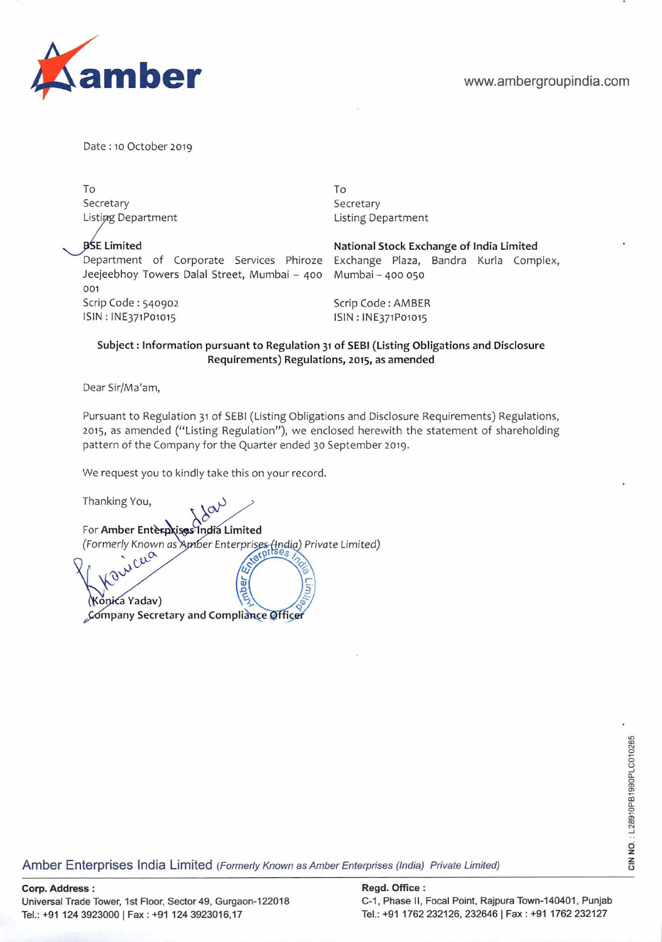

Date :10 October 2019

To Secretary Listing Department

**BSE Limited** 

Department of Corporate Services Phiroze Jeejeebhoy Towers Dalal Street, Mumbai - 400 001 Scrip Code: 540902 SIN : lNE371Po1o15

To Secretary Listing Department

**National Stock Exchange of** India Limited Exchange Plaza, Bandra Kurla Complex, 400 Mumbai - 400 050

Scrip Code : AMBER ISIN : lNE371Po1o15

# **Subject: Information pursuant to Regulation 31 of** SEBI (Listing Obligations and Disclosure Requirements) Regulations, 2015, **as amended**

Dear Sir/Ma'am,

Pursuant to Regulation 31 of SEBI (Listing Obligations and Disclosure Requirements) Regulations, 2015, as amended ("Listing Regulation"), we enclosed herewith the statement of shareholding pattern of the Company for the Quarter ended 30 September 2019.

We request you to kindly take this on your record.

Thanking You,

For Amber Enterprises India Limited (Formerly Known as Amber Enterprises (India) Private Limited)

hber Company Secretary and Compliance Officer (Konića Yadav)

ege<br>City School of The China Content<br>Amber Enterprises India Limited (*Formerly Known as Amber Enterprises (India) Private Limited)*<br>25<br>City School of The Monetary China Private Limited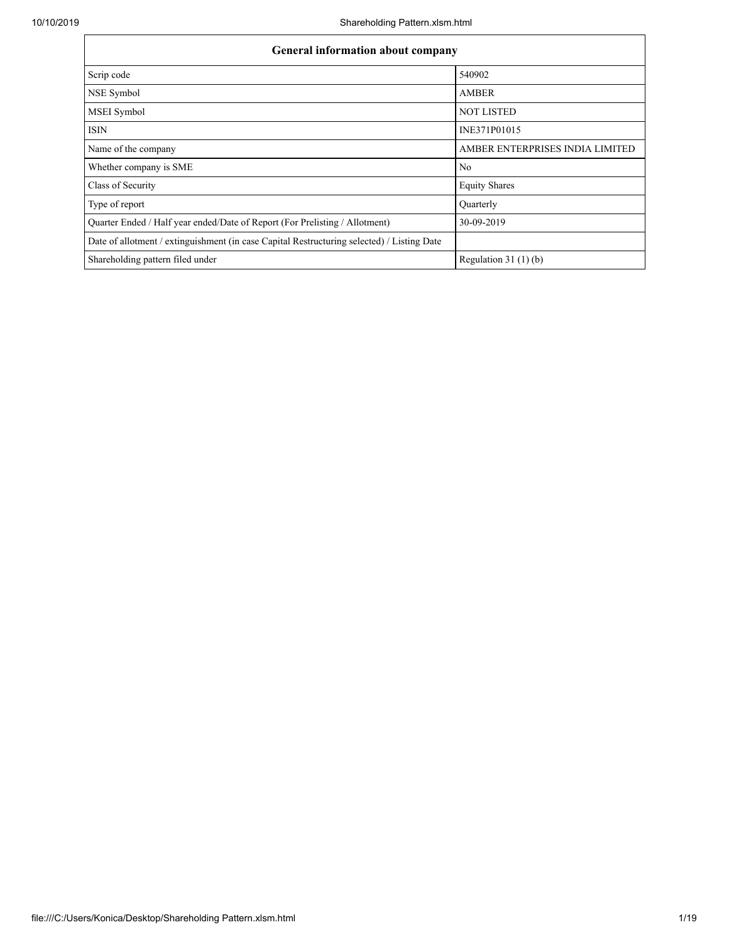| <b>General information about company</b>                                                   |                                 |  |  |  |  |  |  |
|--------------------------------------------------------------------------------------------|---------------------------------|--|--|--|--|--|--|
| Scrip code                                                                                 | 540902                          |  |  |  |  |  |  |
| NSE Symbol                                                                                 | <b>AMBER</b>                    |  |  |  |  |  |  |
| MSEI Symbol                                                                                | <b>NOT LISTED</b>               |  |  |  |  |  |  |
| <b>ISIN</b>                                                                                | INE371P01015                    |  |  |  |  |  |  |
| Name of the company                                                                        | AMBER ENTERPRISES INDIA LIMITED |  |  |  |  |  |  |
| Whether company is SME                                                                     | N <sub>0</sub>                  |  |  |  |  |  |  |
| Class of Security                                                                          | <b>Equity Shares</b>            |  |  |  |  |  |  |
| Type of report                                                                             | Ouarterly                       |  |  |  |  |  |  |
| Quarter Ended / Half year ended/Date of Report (For Prelisting / Allotment)                | 30-09-2019                      |  |  |  |  |  |  |
| Date of allotment / extinguishment (in case Capital Restructuring selected) / Listing Date |                                 |  |  |  |  |  |  |
| Shareholding pattern filed under                                                           | Regulation $31(1)(b)$           |  |  |  |  |  |  |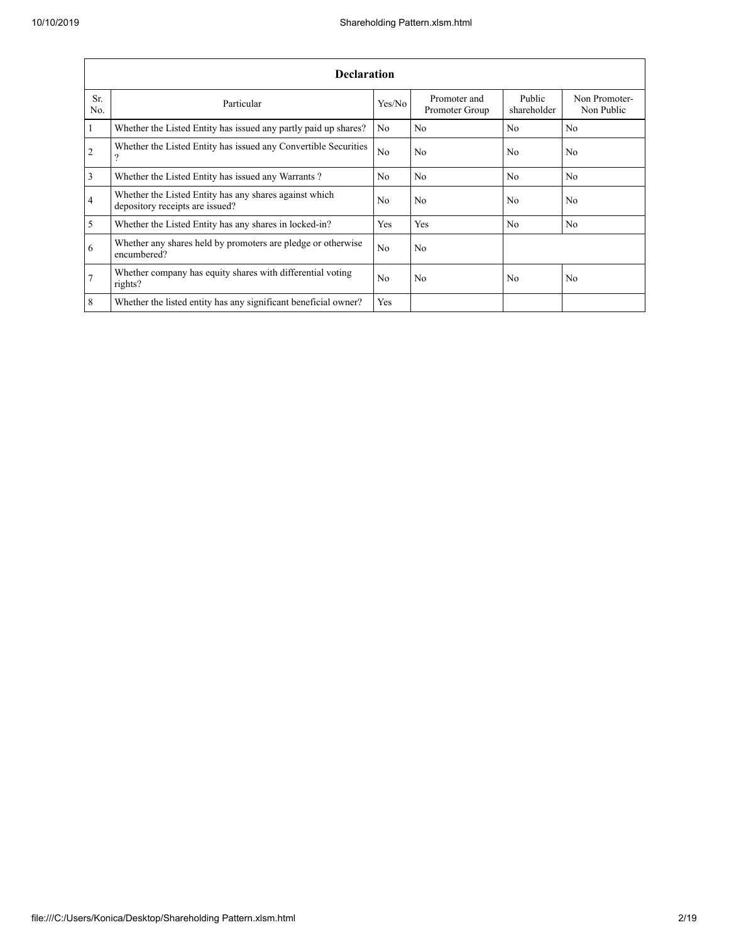|                | <b>Declaration</b>                                                                        |            |                                |                       |                             |  |  |  |  |  |  |  |
|----------------|-------------------------------------------------------------------------------------------|------------|--------------------------------|-----------------------|-----------------------------|--|--|--|--|--|--|--|
| Sr.<br>No.     | Particular                                                                                | Yes/No     | Promoter and<br>Promoter Group | Public<br>shareholder | Non Promoter-<br>Non Public |  |  |  |  |  |  |  |
| $\vert$ 1      | Whether the Listed Entity has issued any partly paid up shares?                           | No         | No                             | No                    | No                          |  |  |  |  |  |  |  |
| $\overline{2}$ | Whether the Listed Entity has issued any Convertible Securities<br>2                      | No         | No                             | No.                   | N <sub>0</sub>              |  |  |  |  |  |  |  |
| $\overline{3}$ | Whether the Listed Entity has issued any Warrants?                                        | No.        | No                             | N <sub>0</sub>        | N <sub>0</sub>              |  |  |  |  |  |  |  |
| $\overline{4}$ | Whether the Listed Entity has any shares against which<br>depository receipts are issued? | No         | No                             | No                    | No                          |  |  |  |  |  |  |  |
| $\overline{5}$ | Whether the Listed Entity has any shares in locked-in?                                    | Yes        | Yes                            | No                    | No                          |  |  |  |  |  |  |  |
| 6              | Whether any shares held by promoters are pledge or otherwise<br>encumbered?               | No.        | No                             |                       |                             |  |  |  |  |  |  |  |
| $\overline{7}$ | Whether company has equity shares with differential voting<br>rights?                     | No         | No                             | No                    | No                          |  |  |  |  |  |  |  |
| 8              | Whether the listed entity has any significant beneficial owner?                           | <b>Yes</b> |                                |                       |                             |  |  |  |  |  |  |  |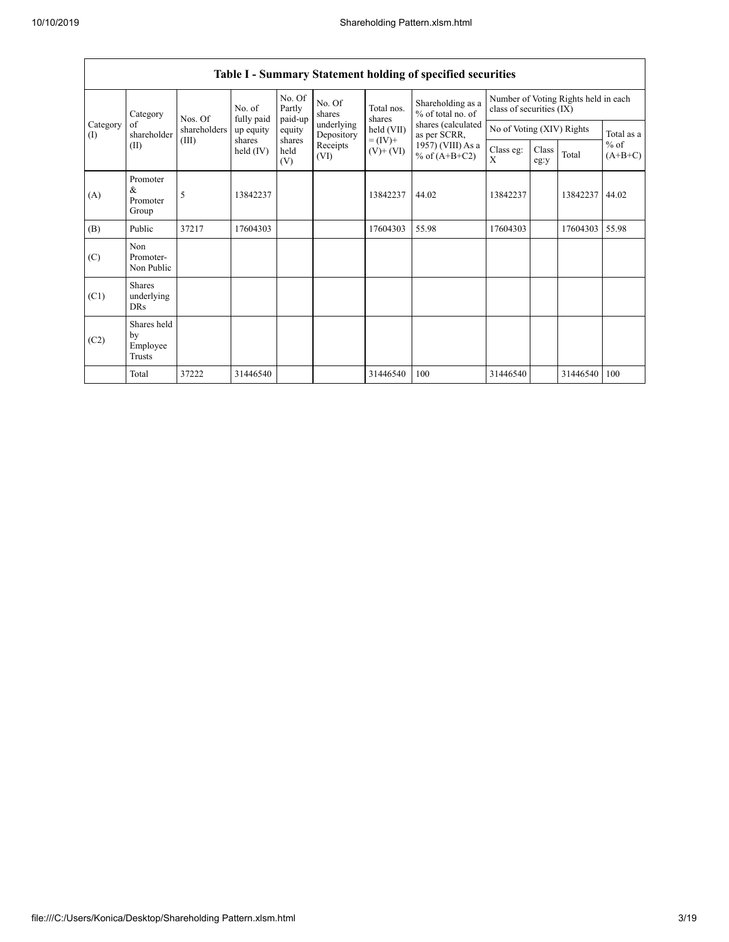|                 | Category                                | No. of<br>Nos. Of | fully paid          | No. Of<br>Partly<br>paid-up | No. Of<br>shares         | Total nos.<br>shares         | Shareholding as a<br>% of total no. of | Number of Voting Rights held in each<br>class of securities (IX) |                           |          |                     |
|-----------------|-----------------------------------------|-------------------|---------------------|-----------------------------|--------------------------|------------------------------|----------------------------------------|------------------------------------------------------------------|---------------------------|----------|---------------------|
| Category<br>(I) | of<br>shareholder                       | shareholders      | up equity           | equity                      | underlying<br>Depository | held (VII)                   | shares (calculated<br>as per SCRR,     |                                                                  | No of Voting (XIV) Rights |          |                     |
|                 | (II)                                    | (III)             | shares<br>held (IV) | shares<br>held<br>(V)       | Receipts<br>(VI)         | $= (IV) +$<br>$(V)$ + $(VI)$ | 1957) (VIII) As a<br>% of $(A+B+C2)$   | Class eg:<br>X                                                   | Class<br>eg:y             | Total    | $%$ of<br>$(A+B+C)$ |
| (A)             | Promoter<br>&<br>Promoter<br>Group      | 5                 | 13842237            |                             |                          | 13842237                     | 44.02                                  | 13842237                                                         |                           | 13842237 | 44.02               |
| (B)             | Public                                  | 37217             | 17604303            |                             |                          | 17604303                     | 55.98                                  | 17604303                                                         |                           | 17604303 | 55.98               |
| (C)             | Non<br>Promoter-<br>Non Public          |                   |                     |                             |                          |                              |                                        |                                                                  |                           |          |                     |
| (C1)            | <b>Shares</b><br>underlying<br>DRs      |                   |                     |                             |                          |                              |                                        |                                                                  |                           |          |                     |
| (C2)            | Shares held<br>by<br>Employee<br>Trusts |                   |                     |                             |                          |                              |                                        |                                                                  |                           |          |                     |
|                 | Total                                   | 37222             | 31446540            |                             |                          | 31446540                     | 100                                    | 31446540                                                         |                           | 31446540 | 100                 |

## **Table I - Summary Statement holding of specified securities**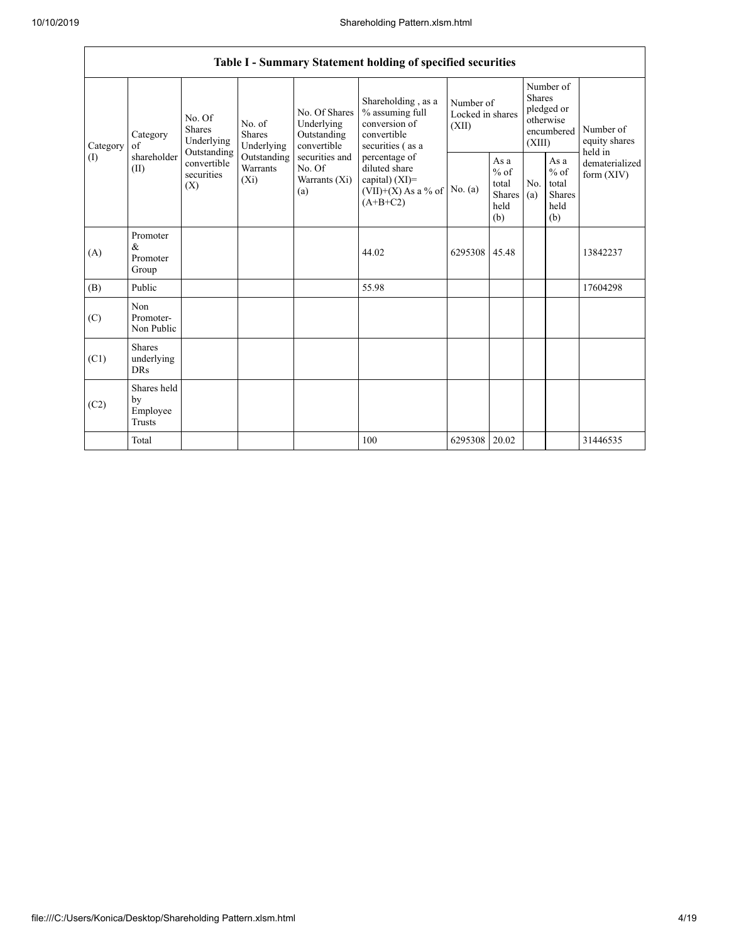|                       | Table I - Summary Statement holding of specified securities                                                                                                                                                |                                                  |                                                                                         |                                                           |                                                                                           |                                        |                                                         |                                                                               |  |                                                                       |  |  |  |
|-----------------------|------------------------------------------------------------------------------------------------------------------------------------------------------------------------------------------------------------|--------------------------------------------------|-----------------------------------------------------------------------------------------|-----------------------------------------------------------|-------------------------------------------------------------------------------------------|----------------------------------------|---------------------------------------------------------|-------------------------------------------------------------------------------|--|-----------------------------------------------------------------------|--|--|--|
| Category<br>of<br>(I) | No. Of<br>No. of<br><b>Shares</b><br><b>Shares</b><br>Category<br>Underlying<br>Underlying<br>Outstanding<br>shareholder<br>Outstanding<br>convertible<br>Warrants<br>(II)<br>securities<br>$(X_i)$<br>(X) |                                                  |                                                                                         | No. Of Shares<br>Underlying<br>Outstanding<br>convertible | Shareholding, as a<br>% assuming full<br>conversion of<br>convertible<br>securities (as a | Number of<br>Locked in shares<br>(XII) |                                                         | Number of<br><b>Shares</b><br>pledged or<br>otherwise<br>encumbered<br>(XIII) |  | Number of<br>equity shares<br>held in<br>dematerialized<br>form (XIV) |  |  |  |
|                       |                                                                                                                                                                                                            | securities and<br>No. Of<br>Warrants (Xi)<br>(a) | percentage of<br>diluted share<br>capital) (XI)=<br>$(VII)+(X)$ As a % of<br>$(A+B+C2)$ | No. (a)                                                   | As a<br>$%$ of<br>total<br>Shares<br>held<br>(b)                                          | No.<br>(a)                             | As a<br>$%$ of<br>total<br><b>Shares</b><br>held<br>(b) |                                                                               |  |                                                                       |  |  |  |
| (A)                   | Promoter<br>&<br>Promoter<br>Group                                                                                                                                                                         |                                                  |                                                                                         |                                                           | 44.02                                                                                     | 6295308                                | 45.48                                                   |                                                                               |  | 13842237                                                              |  |  |  |
| (B)                   | Public                                                                                                                                                                                                     |                                                  |                                                                                         |                                                           | 55.98                                                                                     |                                        |                                                         |                                                                               |  | 17604298                                                              |  |  |  |
| (C)                   | Non<br>Promoter-<br>Non Public                                                                                                                                                                             |                                                  |                                                                                         |                                                           |                                                                                           |                                        |                                                         |                                                                               |  |                                                                       |  |  |  |
| (C1)                  | <b>Shares</b><br>underlying<br><b>DRs</b>                                                                                                                                                                  |                                                  |                                                                                         |                                                           |                                                                                           |                                        |                                                         |                                                                               |  |                                                                       |  |  |  |
| (C2)                  | Shares held<br>by<br>Employee<br>Trusts                                                                                                                                                                    |                                                  |                                                                                         |                                                           |                                                                                           |                                        |                                                         |                                                                               |  |                                                                       |  |  |  |
|                       | Total                                                                                                                                                                                                      |                                                  |                                                                                         |                                                           | 100                                                                                       | 6295308                                | 20.02                                                   |                                                                               |  | 31446535                                                              |  |  |  |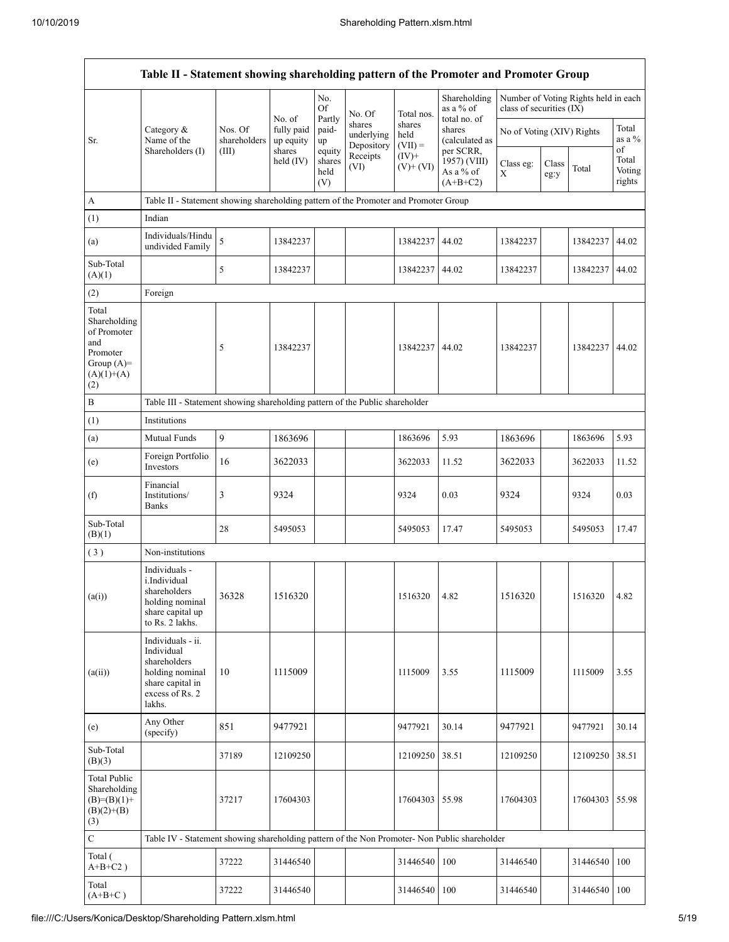|                                                                                                | Table II - Statement showing shareholding pattern of the Promoter and Promoter Group                                |                                  |                                             |                                 |                                    |                             |                                                       |                           |               |                                      |                           |
|------------------------------------------------------------------------------------------------|---------------------------------------------------------------------------------------------------------------------|----------------------------------|---------------------------------------------|---------------------------------|------------------------------------|-----------------------------|-------------------------------------------------------|---------------------------|---------------|--------------------------------------|---------------------------|
|                                                                                                |                                                                                                                     |                                  |                                             | No.<br><b>Of</b>                | No. Of                             | Total nos.                  | Shareholding<br>as a % of                             | class of securities (IX)  |               | Number of Voting Rights held in each |                           |
| Sr.                                                                                            | Category &<br>Name of the<br>Shareholders (I)                                                                       | Nos. Of<br>shareholders<br>(III) | No. of<br>fully paid<br>up equity<br>shares | Partly<br>paid-<br>up<br>equity | shares<br>underlying<br>Depository | shares<br>held<br>$(VII) =$ | total no. of<br>shares<br>(calculated as<br>per SCRR, | No of Voting (XIV) Rights |               |                                      | Total<br>as a %<br>of     |
|                                                                                                |                                                                                                                     |                                  | held $(IV)$                                 | shares<br>held<br>(V)           | Receipts<br>(VI)                   | $(IV)+$<br>$(V)$ + $(VI)$   | 1957) (VIII)<br>As a % of<br>$(A+B+C2)$               | Class eg:<br>X            | Class<br>eg:y | Total                                | Total<br>Voting<br>rights |
| A                                                                                              | Table II - Statement showing shareholding pattern of the Promoter and Promoter Group                                |                                  |                                             |                                 |                                    |                             |                                                       |                           |               |                                      |                           |
| (1)                                                                                            | Indian                                                                                                              |                                  |                                             |                                 |                                    |                             |                                                       |                           |               |                                      |                           |
| (a)                                                                                            | Individuals/Hindu<br>undivided Family                                                                               | 5                                | 13842237                                    |                                 |                                    | 13842237                    | 44.02                                                 | 13842237                  |               | 13842237                             | 44.02                     |
| Sub-Total<br>(A)(1)                                                                            |                                                                                                                     | 5                                | 13842237                                    |                                 |                                    | 13842237 44.02              |                                                       | 13842237                  |               | 13842237                             | 44.02                     |
| (2)                                                                                            | Foreign                                                                                                             |                                  |                                             |                                 |                                    |                             |                                                       |                           |               |                                      |                           |
| Total<br>Shareholding<br>of Promoter<br>and<br>Promoter<br>Group $(A)=$<br>$(A)(1)+(A)$<br>(2) |                                                                                                                     | 5                                | 13842237                                    |                                 |                                    | 13842237 44.02              |                                                       | 13842237                  |               | 13842237                             | 44.02                     |
| В                                                                                              | Table III - Statement showing shareholding pattern of the Public shareholder                                        |                                  |                                             |                                 |                                    |                             |                                                       |                           |               |                                      |                           |
| (1)                                                                                            | Institutions                                                                                                        |                                  |                                             |                                 |                                    |                             |                                                       |                           |               |                                      |                           |
| (a)                                                                                            | Mutual Funds                                                                                                        | 9                                | 1863696                                     |                                 |                                    | 1863696                     | 5.93                                                  | 1863696                   |               | 1863696                              | 5.93                      |
| (e)                                                                                            | Foreign Portfolio<br>Investors                                                                                      | 16                               | 3622033                                     |                                 |                                    | 3622033                     | 11.52                                                 | 3622033                   |               | 3622033                              | 11.52                     |
| (f)                                                                                            | Financial<br>Institutions/<br><b>Banks</b>                                                                          | 3                                | 9324                                        |                                 |                                    | 9324                        | 0.03                                                  | 9324                      |               | 9324                                 | 0.03                      |
| Sub-Total<br>(B)(1)                                                                            |                                                                                                                     | 28                               | 5495053                                     |                                 |                                    | 5495053                     | 17.47                                                 | 5495053                   |               | 5495053                              | 17.47                     |
| (3)                                                                                            | Non-institutions                                                                                                    |                                  |                                             |                                 |                                    |                             |                                                       |                           |               |                                      |                           |
| (a(i))                                                                                         | Individuals -<br>i.Individual<br>shareholders<br>holding nominal<br>share capital up<br>to Rs. 2 lakhs.             | 36328                            | 1516320                                     |                                 |                                    | 1516320 4.82                |                                                       | 1516320                   |               | 1516320                              | 4.82                      |
| (a(ii))                                                                                        | Individuals - ii.<br>Individual<br>shareholders<br>holding nominal<br>share capital in<br>excess of Rs. 2<br>lakhs. | 10                               | 1115009                                     |                                 |                                    | 1115009                     | 3.55                                                  | 1115009                   |               | 1115009                              | 3.55                      |
| (e)                                                                                            | Any Other<br>(specify)                                                                                              | 851                              | 9477921                                     |                                 |                                    | 9477921                     | 30.14                                                 | 9477921                   |               | 9477921                              | 30.14                     |
| Sub-Total<br>(B)(3)                                                                            |                                                                                                                     | 37189                            | 12109250                                    |                                 |                                    | 12109250                    | 38.51                                                 | 12109250                  |               | 12109250                             | 38.51                     |
| <b>Total Public</b><br>Shareholding<br>$(B)=(B)(1)+$<br>$(B)(2)+(B)$<br>(3)                    |                                                                                                                     | 37217                            | 17604303                                    |                                 |                                    | 17604303                    | 55.98                                                 | 17604303                  |               | 17604303                             | 55.98                     |
| $\mathbf C$                                                                                    | Table IV - Statement showing shareholding pattern of the Non Promoter- Non Public shareholder                       |                                  |                                             |                                 |                                    |                             |                                                       |                           |               |                                      |                           |
| Total (<br>$A+B+C2$ )                                                                          |                                                                                                                     | 37222                            | 31446540                                    |                                 |                                    | 31446540                    | 100                                                   | 31446540                  |               | 31446540                             | 100                       |
| Total<br>$(A+B+C)$                                                                             |                                                                                                                     | 37222                            | 31446540                                    |                                 |                                    | 31446540                    | 100                                                   | 31446540                  |               | 31446540                             | 100                       |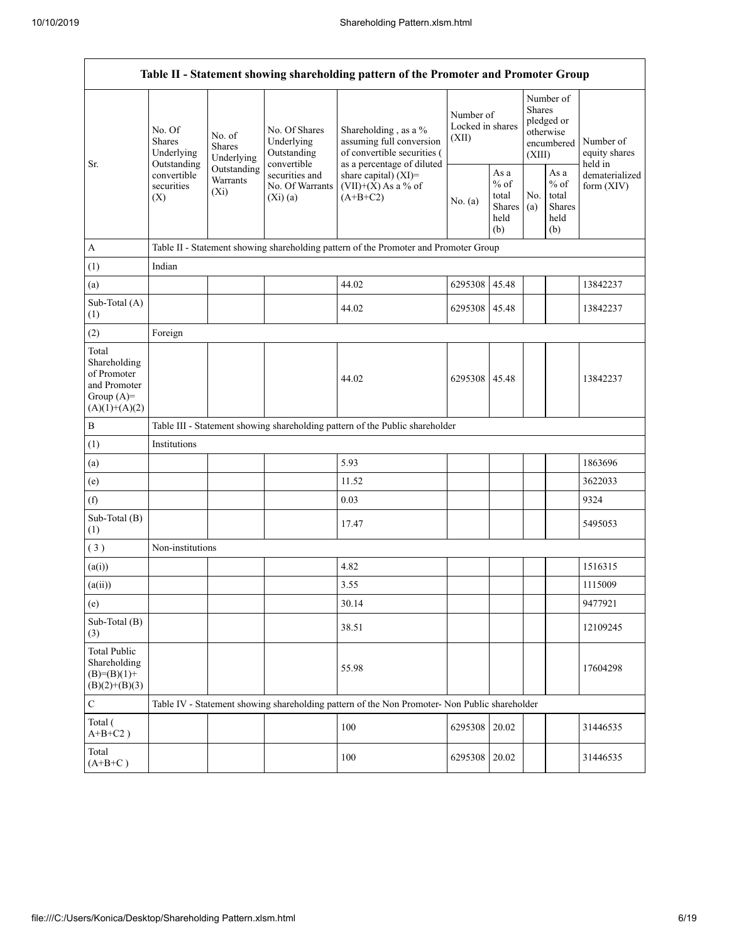|                                                                                         |                                                                        |                                                                                             |                                                                                                               | Table II - Statement showing shareholding pattern of the Promoter and Promoter Group          |               |                                                                               |            |                                                  |                                |  |  |
|-----------------------------------------------------------------------------------------|------------------------------------------------------------------------|---------------------------------------------------------------------------------------------|---------------------------------------------------------------------------------------------------------------|-----------------------------------------------------------------------------------------------|---------------|-------------------------------------------------------------------------------|------------|--------------------------------------------------|--------------------------------|--|--|
| Sr.                                                                                     | No. Of<br>Shares<br>Underlying<br>Outstanding                          | No. Of Shares<br>No. of<br>Underlying<br>Shares<br>Outstanding<br>Underlying<br>convertible | Shareholding, as a %<br>assuming full conversion<br>of convertible securities (<br>as a percentage of diluted | Number of<br>Locked in shares<br>(XII)                                                        |               | Number of<br><b>Shares</b><br>pledged or<br>otherwise<br>encumbered<br>(XIII) |            | Number of<br>equity shares<br>held in            |                                |  |  |
|                                                                                         | Outstanding<br>convertible<br>Warrants<br>securities<br>$(X_i)$<br>(X) |                                                                                             | securities and<br>No. Of Warrants<br>(Xi)(a)                                                                  | share capital) (XI)=<br>$(VII)+(X)$ As a % of<br>$(A+B+C2)$                                   | No. (a)       | As a<br>$%$ of<br>total<br>Shares<br>held<br>(b)                              | No.<br>(a) | As a<br>$%$ of<br>total<br>Shares<br>held<br>(b) | dematerialized<br>form $(XIV)$ |  |  |
| $\mathbf{A}$                                                                            |                                                                        |                                                                                             |                                                                                                               | Table II - Statement showing shareholding pattern of the Promoter and Promoter Group          |               |                                                                               |            |                                                  |                                |  |  |
| (1)                                                                                     | Indian                                                                 |                                                                                             |                                                                                                               |                                                                                               |               |                                                                               |            |                                                  |                                |  |  |
| (a)                                                                                     |                                                                        |                                                                                             |                                                                                                               | 44.02                                                                                         | 6295308       | 45.48                                                                         |            |                                                  | 13842237                       |  |  |
| Sub-Total (A)<br>(1)                                                                    |                                                                        |                                                                                             |                                                                                                               | 44.02                                                                                         | 6295308 45.48 |                                                                               |            |                                                  | 13842237                       |  |  |
| (2)                                                                                     | Foreign                                                                |                                                                                             |                                                                                                               |                                                                                               |               |                                                                               |            |                                                  |                                |  |  |
| Total<br>Shareholding<br>of Promoter<br>and Promoter<br>Group $(A)=$<br>$(A)(1)+(A)(2)$ |                                                                        |                                                                                             |                                                                                                               | 44.02                                                                                         | 6295308 45.48 |                                                                               |            |                                                  | 13842237                       |  |  |
| $\, {\bf B}$                                                                            |                                                                        | Table III - Statement showing shareholding pattern of the Public shareholder                |                                                                                                               |                                                                                               |               |                                                                               |            |                                                  |                                |  |  |
| (1)                                                                                     | Institutions                                                           |                                                                                             |                                                                                                               |                                                                                               |               |                                                                               |            |                                                  |                                |  |  |
| (a)                                                                                     |                                                                        |                                                                                             |                                                                                                               | 5.93                                                                                          |               |                                                                               |            |                                                  | 1863696                        |  |  |
| (e)                                                                                     |                                                                        |                                                                                             |                                                                                                               | 11.52                                                                                         |               |                                                                               |            |                                                  | 3622033                        |  |  |
| (f)                                                                                     |                                                                        |                                                                                             |                                                                                                               | 0.03                                                                                          |               |                                                                               |            |                                                  | 9324                           |  |  |
| Sub-Total (B)<br>(1)                                                                    |                                                                        |                                                                                             |                                                                                                               | 17.47                                                                                         |               |                                                                               |            |                                                  | 5495053                        |  |  |
| (3)                                                                                     | Non-institutions                                                       |                                                                                             |                                                                                                               |                                                                                               |               |                                                                               |            |                                                  |                                |  |  |
| (a(i))                                                                                  |                                                                        |                                                                                             |                                                                                                               | 4.82                                                                                          |               |                                                                               |            |                                                  | 1516315                        |  |  |
| (a(ii))                                                                                 |                                                                        |                                                                                             |                                                                                                               | 3.55                                                                                          |               |                                                                               |            |                                                  | 1115009                        |  |  |
| (e)                                                                                     |                                                                        |                                                                                             |                                                                                                               | 30.14                                                                                         |               |                                                                               |            |                                                  | 9477921                        |  |  |
| Sub-Total (B)<br>(3)                                                                    |                                                                        |                                                                                             |                                                                                                               | 38.51                                                                                         |               |                                                                               |            |                                                  | 12109245                       |  |  |
| <b>Total Public</b><br>Shareholding<br>$(B)= (B)(1) +$<br>$(B)(2)+(B)(3)$               |                                                                        |                                                                                             |                                                                                                               | 55.98                                                                                         |               |                                                                               |            |                                                  | 17604298                       |  |  |
| $\mathbf C$                                                                             |                                                                        |                                                                                             |                                                                                                               | Table IV - Statement showing shareholding pattern of the Non Promoter- Non Public shareholder |               |                                                                               |            |                                                  |                                |  |  |
| Total (<br>$A+B+C2$ )                                                                   |                                                                        |                                                                                             |                                                                                                               | 100                                                                                           | 6295308       | 20.02                                                                         |            |                                                  | 31446535                       |  |  |
| Total<br>$(A+B+C)$                                                                      |                                                                        |                                                                                             |                                                                                                               | 100                                                                                           | 6295308 20.02 |                                                                               |            |                                                  | 31446535                       |  |  |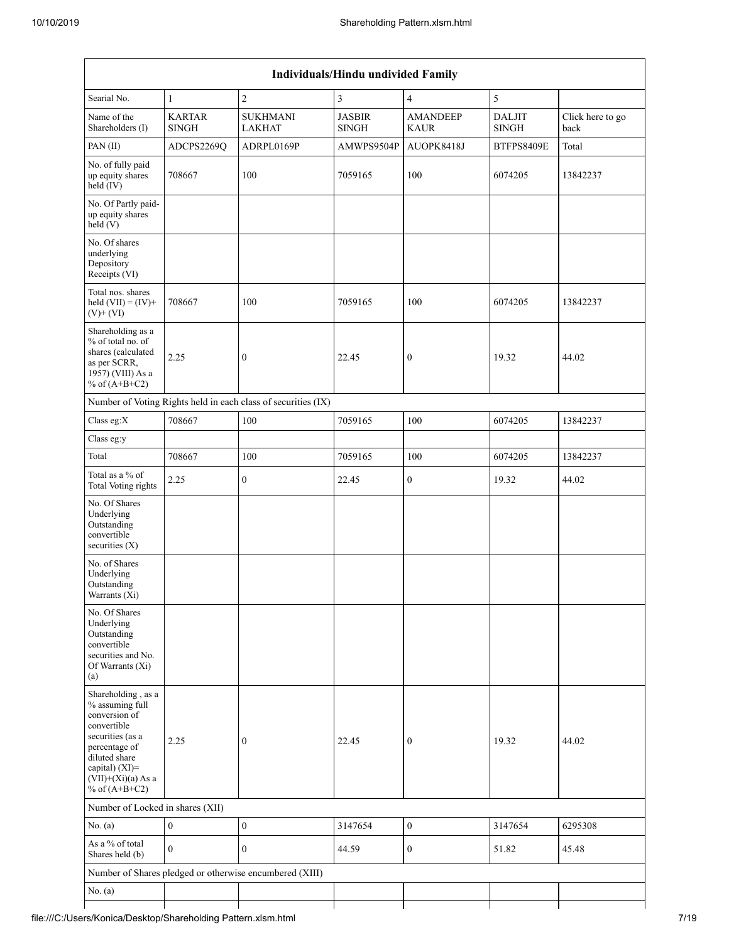|                                                                                                                                                                                          | Individuals/Hindu undivided Family |                                                               |                               |                                |                               |                          |  |  |  |  |  |  |
|------------------------------------------------------------------------------------------------------------------------------------------------------------------------------------------|------------------------------------|---------------------------------------------------------------|-------------------------------|--------------------------------|-------------------------------|--------------------------|--|--|--|--|--|--|
| Searial No.                                                                                                                                                                              | $\mathbf{1}$                       | $\overline{2}$                                                | 3                             | $\overline{4}$                 | 5                             |                          |  |  |  |  |  |  |
| Name of the<br>Shareholders (I)                                                                                                                                                          | <b>KARTAR</b><br><b>SINGH</b>      | <b>SUKHMANI</b><br><b>LAKHAT</b>                              | <b>JASBIR</b><br><b>SINGH</b> | <b>AMANDEEP</b><br><b>KAUR</b> | <b>DALJIT</b><br><b>SINGH</b> | Click here to go<br>back |  |  |  |  |  |  |
| PAN(II)                                                                                                                                                                                  | ADCPS2269Q                         | ADRPL0169P                                                    | AMWPS9504P                    | AUOPK8418J                     | BTFPS8409E                    | Total                    |  |  |  |  |  |  |
| No. of fully paid<br>up equity shares<br>$held$ (IV)                                                                                                                                     | 708667                             | 100                                                           | 7059165                       | 100                            | 6074205                       | 13842237                 |  |  |  |  |  |  |
| No. Of Partly paid-<br>up equity shares<br>held(V)                                                                                                                                       |                                    |                                                               |                               |                                |                               |                          |  |  |  |  |  |  |
| No. Of shares<br>underlying<br>Depository<br>Receipts (VI)                                                                                                                               |                                    |                                                               |                               |                                |                               |                          |  |  |  |  |  |  |
| Total nos. shares<br>held $(VII) = (IV) +$<br>$(V)$ + $(VI)$                                                                                                                             | 708667                             | 100                                                           | 7059165                       | 100                            | 6074205                       | 13842237                 |  |  |  |  |  |  |
| Shareholding as a<br>% of total no. of<br>shares (calculated<br>as per SCRR,<br>1957) (VIII) As a<br>% of $(A+B+C2)$                                                                     | 2.25                               | $\boldsymbol{0}$                                              | 22.45                         | 0                              | 19.32                         | 44.02                    |  |  |  |  |  |  |
|                                                                                                                                                                                          |                                    | Number of Voting Rights held in each class of securities (IX) |                               |                                |                               |                          |  |  |  |  |  |  |
| Class eg:X                                                                                                                                                                               | 708667                             | 100                                                           | 7059165                       | 100                            | 6074205                       | 13842237                 |  |  |  |  |  |  |
| Class eg:y                                                                                                                                                                               |                                    |                                                               |                               |                                |                               |                          |  |  |  |  |  |  |
| Total                                                                                                                                                                                    | 708667                             | 100                                                           | 7059165                       | 100                            | 6074205                       | 13842237                 |  |  |  |  |  |  |
| Total as a % of<br>Total Voting rights                                                                                                                                                   | 2.25                               | $\boldsymbol{0}$                                              | 22.45                         | $\boldsymbol{0}$               | 19.32                         | 44.02                    |  |  |  |  |  |  |
| No. Of Shares<br>Underlying<br>Outstanding<br>convertible<br>securities $(X)$                                                                                                            |                                    |                                                               |                               |                                |                               |                          |  |  |  |  |  |  |
| No. of Shares<br>Underlying<br>Outstanding<br>Warrants (Xi)                                                                                                                              |                                    |                                                               |                               |                                |                               |                          |  |  |  |  |  |  |
| No. Of Shares<br>Underlying<br>Outstanding<br>convertible<br>securities and No.<br>Of Warrants (Xi)<br>(a)                                                                               |                                    |                                                               |                               |                                |                               |                          |  |  |  |  |  |  |
| Shareholding, as a<br>% assuming full<br>conversion of<br>convertible<br>securities (as a<br>percentage of<br>diluted share<br>capital) (XI)=<br>$(VII)+(Xi)(a)$ As a<br>% of $(A+B+C2)$ | 2.25                               | $\boldsymbol{0}$                                              | 22.45                         | $\boldsymbol{0}$               | 19.32                         | 44.02                    |  |  |  |  |  |  |
| Number of Locked in shares (XII)                                                                                                                                                         |                                    |                                                               |                               |                                |                               |                          |  |  |  |  |  |  |
| No. (a)                                                                                                                                                                                  | $\boldsymbol{0}$                   | $\boldsymbol{0}$                                              | 3147654                       | $\boldsymbol{0}$               | 3147654                       | 6295308                  |  |  |  |  |  |  |
| As a % of total<br>Shares held (b)                                                                                                                                                       | $\mathbf{0}$                       | $\mathbf{0}$                                                  | 44.59                         | $\boldsymbol{0}$               | 51.82                         | 45.48                    |  |  |  |  |  |  |
|                                                                                                                                                                                          |                                    | Number of Shares pledged or otherwise encumbered (XIII)       |                               |                                |                               |                          |  |  |  |  |  |  |
| No. (a)                                                                                                                                                                                  |                                    |                                                               |                               |                                |                               |                          |  |  |  |  |  |  |
|                                                                                                                                                                                          |                                    |                                                               |                               |                                |                               |                          |  |  |  |  |  |  |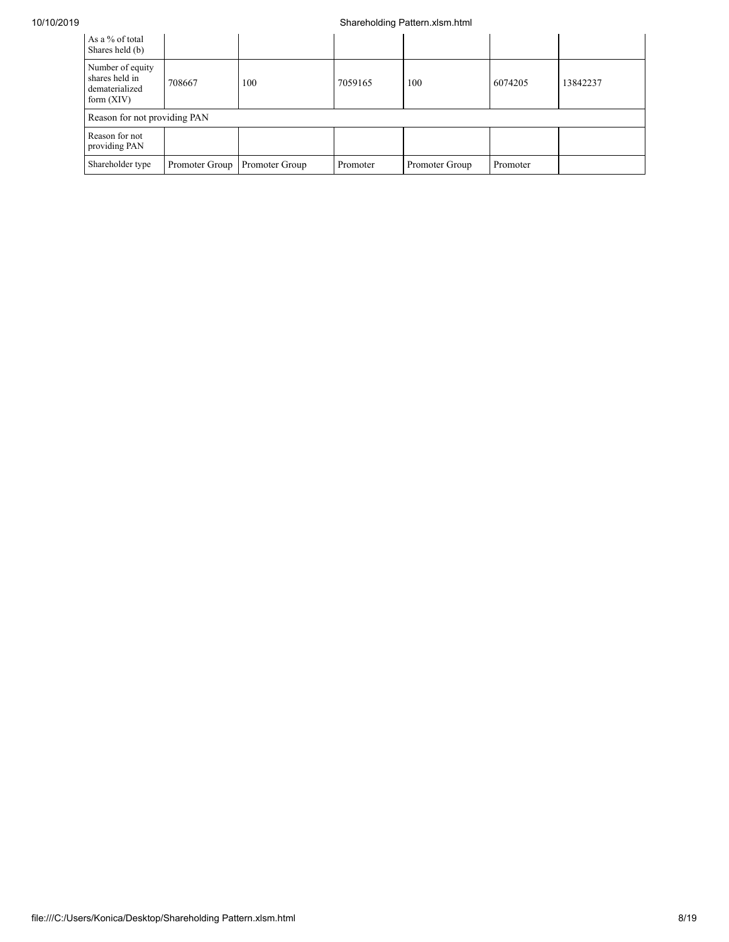## 10/10/2019 Shareholding Pattern.xlsm.html

| As a % of total<br>Shares held (b)                                   |                              |                |          |                |          |          |  |  |  |  |  |
|----------------------------------------------------------------------|------------------------------|----------------|----------|----------------|----------|----------|--|--|--|--|--|
| Number of equity<br>shares held in<br>dematerialized<br>form $(XIV)$ | 708667                       | 100            | 7059165  | 100            | 6074205  | 13842237 |  |  |  |  |  |
|                                                                      | Reason for not providing PAN |                |          |                |          |          |  |  |  |  |  |
| Reason for not<br>providing PAN                                      |                              |                |          |                |          |          |  |  |  |  |  |
| Shareholder type                                                     | Promoter Group               | Promoter Group | Promoter | Promoter Group | Promoter |          |  |  |  |  |  |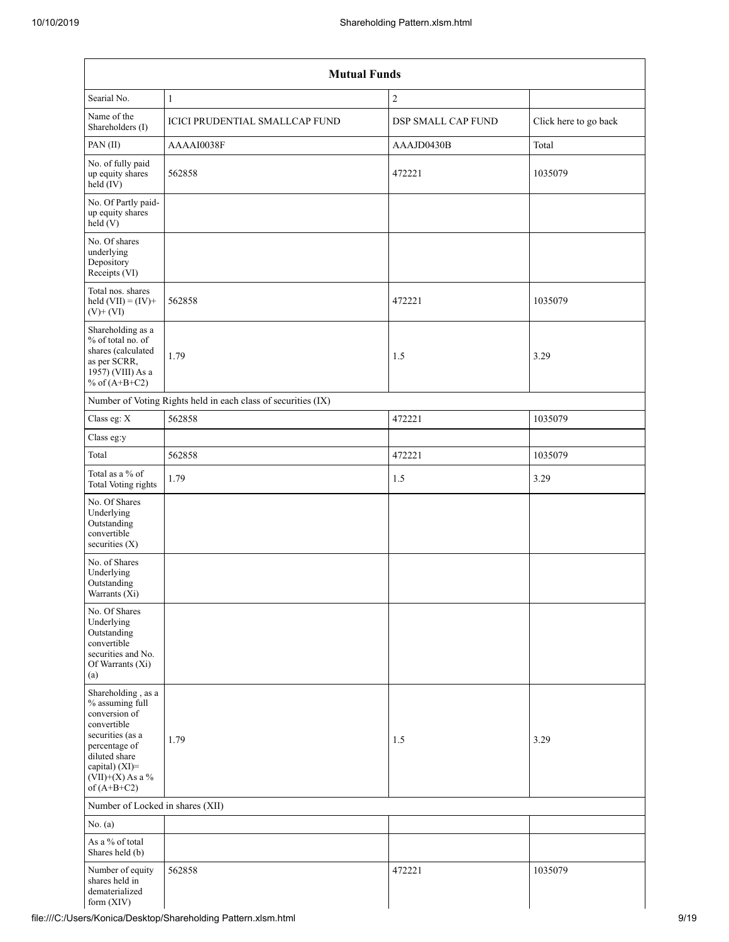|                                                                                                                                                                                      | <b>Mutual Funds</b>                                           |                    |                       |  |  |  |  |  |  |  |
|--------------------------------------------------------------------------------------------------------------------------------------------------------------------------------------|---------------------------------------------------------------|--------------------|-----------------------|--|--|--|--|--|--|--|
| Searial No.                                                                                                                                                                          | $\mathbf{1}$                                                  | $\overline{2}$     |                       |  |  |  |  |  |  |  |
| Name of the<br>Shareholders (I)                                                                                                                                                      | <b>ICICI PRUDENTIAL SMALLCAP FUND</b>                         | DSP SMALL CAP FUND | Click here to go back |  |  |  |  |  |  |  |
| PAN(II)                                                                                                                                                                              | AAAAI0038F                                                    | AAAJD0430B         | Total                 |  |  |  |  |  |  |  |
| No. of fully paid<br>up equity shares<br>$held$ (IV)                                                                                                                                 | 562858                                                        | 472221             | 1035079               |  |  |  |  |  |  |  |
| No. Of Partly paid-<br>up equity shares<br>held(V)                                                                                                                                   |                                                               |                    |                       |  |  |  |  |  |  |  |
| No. Of shares<br>underlying<br>Depository<br>Receipts (VI)                                                                                                                           |                                                               |                    |                       |  |  |  |  |  |  |  |
| Total nos. shares<br>held $(VII) = (IV) +$<br>$(V)$ + $(VI)$                                                                                                                         | 562858                                                        | 472221             | 1035079               |  |  |  |  |  |  |  |
| Shareholding as a<br>% of total no. of<br>shares (calculated<br>as per SCRR,<br>1957) (VIII) As a<br>% of $(A+B+C2)$                                                                 | 1.79                                                          | 1.5                | 3.29                  |  |  |  |  |  |  |  |
|                                                                                                                                                                                      | Number of Voting Rights held in each class of securities (IX) |                    |                       |  |  |  |  |  |  |  |
| Class eg: X                                                                                                                                                                          | 562858                                                        | 472221             | 1035079               |  |  |  |  |  |  |  |
| Class eg:y                                                                                                                                                                           |                                                               |                    |                       |  |  |  |  |  |  |  |
| Total                                                                                                                                                                                | 562858                                                        | 472221             | 1035079               |  |  |  |  |  |  |  |
| Total as a % of<br>Total Voting rights                                                                                                                                               | 1.79                                                          | 1.5                | 3.29                  |  |  |  |  |  |  |  |
| No. Of Shares<br>Underlying<br>Outstanding<br>convertible<br>securities $(X)$                                                                                                        |                                                               |                    |                       |  |  |  |  |  |  |  |
| No. of Shares<br>Underlying<br>Outstanding<br>Warrants $(X_i)$                                                                                                                       |                                                               |                    |                       |  |  |  |  |  |  |  |
| No. Of Shares<br>Underlying<br>Outstanding<br>convertible<br>securities and No.<br>Of Warrants (Xi)<br>(a)                                                                           |                                                               |                    |                       |  |  |  |  |  |  |  |
| Shareholding, as a<br>% assuming full<br>conversion of<br>convertible<br>securities (as a<br>percentage of<br>diluted share<br>capital) (XI)=<br>$(VII)+(X)$ As a %<br>of $(A+B+C2)$ | 1.79                                                          | 1.5                | 3.29                  |  |  |  |  |  |  |  |
| Number of Locked in shares (XII)                                                                                                                                                     |                                                               |                    |                       |  |  |  |  |  |  |  |
| No. (a)                                                                                                                                                                              |                                                               |                    |                       |  |  |  |  |  |  |  |
| As a % of total<br>Shares held (b)                                                                                                                                                   |                                                               |                    |                       |  |  |  |  |  |  |  |
| Number of equity<br>shares held in<br>dematerialized<br>form (XIV)                                                                                                                   | 562858                                                        | 472221             | 1035079               |  |  |  |  |  |  |  |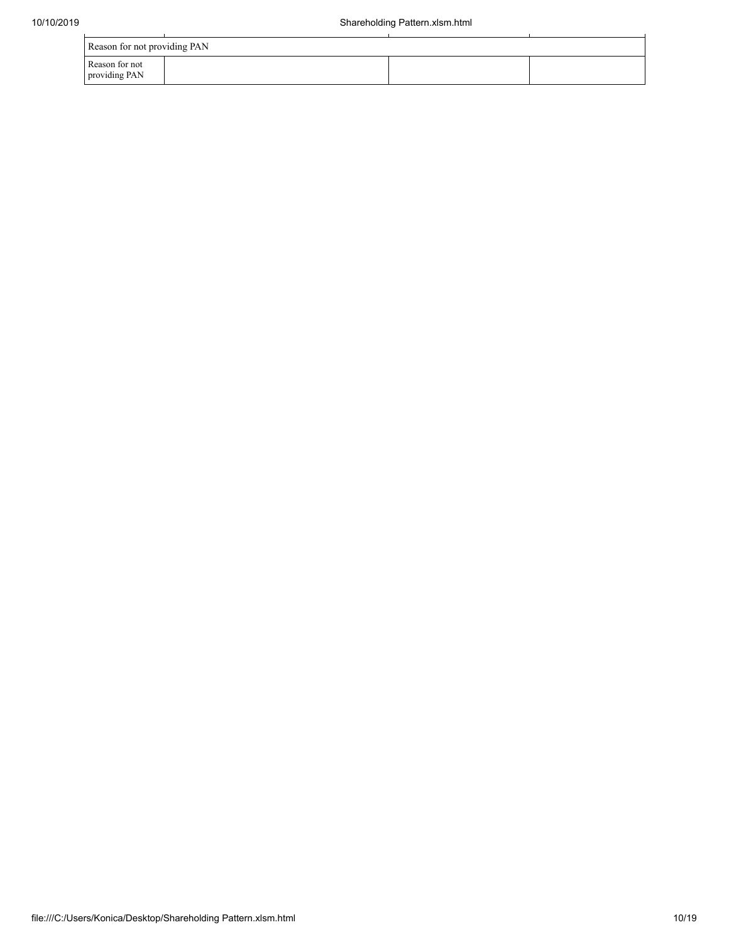| Reason for not providing PAN    |  |  |  |  |  |  |  |  |
|---------------------------------|--|--|--|--|--|--|--|--|
| Reason for not<br>providing PAN |  |  |  |  |  |  |  |  |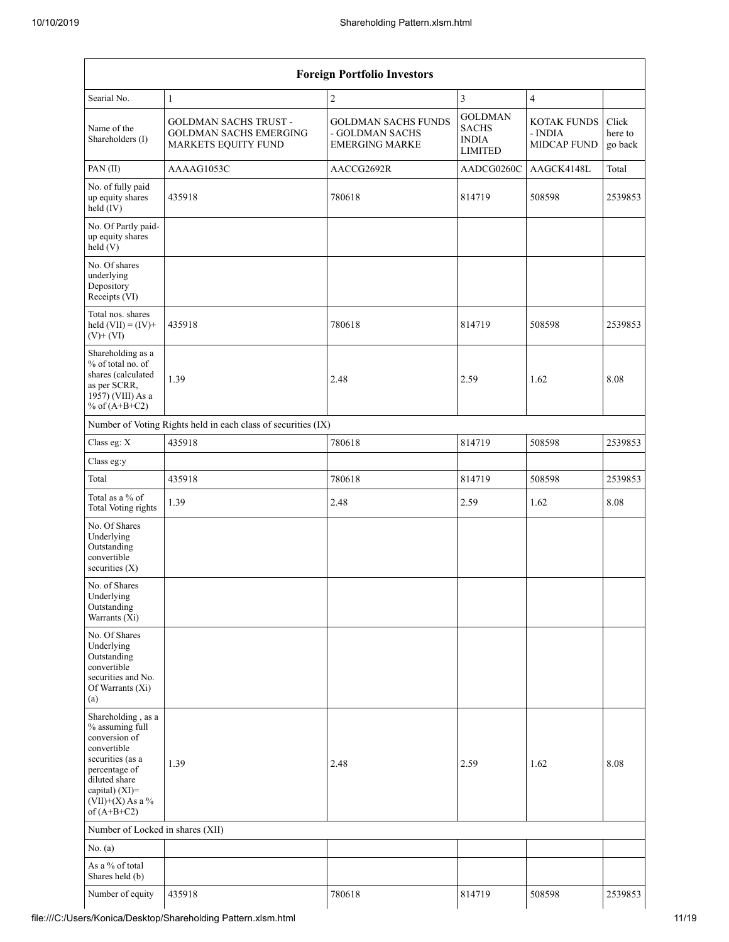|                                                                                                                                                                                         |                                                                                      | <b>Foreign Portfolio Investors</b>                                     |                                                                  |                                                     |                             |
|-----------------------------------------------------------------------------------------------------------------------------------------------------------------------------------------|--------------------------------------------------------------------------------------|------------------------------------------------------------------------|------------------------------------------------------------------|-----------------------------------------------------|-----------------------------|
| Searial No.                                                                                                                                                                             | 1                                                                                    | $\overline{c}$                                                         | 3                                                                | $\overline{4}$                                      |                             |
| Name of the<br>Shareholders (I)                                                                                                                                                         | <b>GOLDMAN SACHS TRUST -</b><br><b>GOLDMAN SACHS EMERGING</b><br>MARKETS EQUITY FUND | <b>GOLDMAN SACHS FUNDS</b><br>- GOLDMAN SACHS<br><b>EMERGING MARKE</b> | <b>GOLDMAN</b><br><b>SACHS</b><br><b>INDIA</b><br><b>LIMITED</b> | <b>KOTAK FUNDS</b><br>- INDIA<br><b>MIDCAP FUND</b> | Click<br>here to<br>go back |
| PAN (II)                                                                                                                                                                                | AAAAG1053C                                                                           | AACCG2692R                                                             | AADCG0260C                                                       | AAGCK4148L                                          | Total                       |
| No. of fully paid<br>up equity shares<br>held (IV)                                                                                                                                      | 435918                                                                               | 780618                                                                 | 814719                                                           | 508598                                              | 2539853                     |
| No. Of Partly paid-<br>up equity shares<br>held (V)                                                                                                                                     |                                                                                      |                                                                        |                                                                  |                                                     |                             |
| No. Of shares<br>underlying<br>Depository<br>Receipts (VI)                                                                                                                              |                                                                                      |                                                                        |                                                                  |                                                     |                             |
| Total nos. shares<br>held $(VII) = (IV) +$<br>$(V)$ + $(VI)$                                                                                                                            | 435918                                                                               | 780618                                                                 | 814719                                                           | 508598                                              | 2539853                     |
| Shareholding as a<br>% of total no. of<br>shares (calculated<br>as per SCRR,<br>1957) (VIII) As a<br>% of $(A+B+C2)$                                                                    | 1.39                                                                                 | 2.48                                                                   | 2.59                                                             | 1.62                                                | 8.08                        |
|                                                                                                                                                                                         | Number of Voting Rights held in each class of securities (IX)                        |                                                                        |                                                                  |                                                     |                             |
| Class eg: X                                                                                                                                                                             | 435918                                                                               | 780618                                                                 | 814719                                                           | 508598                                              | 2539853                     |
| Class eg:y                                                                                                                                                                              |                                                                                      |                                                                        |                                                                  |                                                     |                             |
| Total                                                                                                                                                                                   | 435918                                                                               | 780618                                                                 | 814719                                                           | 508598                                              | 2539853                     |
| Total as a % of<br>Total Voting rights                                                                                                                                                  | 1.39                                                                                 | 2.48                                                                   | 2.59                                                             | 1.62                                                | 8.08                        |
| No. Of Shares<br>Underlying<br>Outstanding<br>convertible<br>securities (X)                                                                                                             |                                                                                      |                                                                        |                                                                  |                                                     |                             |
| No. of Shares<br>Underlying<br>Outstanding<br>Warrants (Xi)                                                                                                                             |                                                                                      |                                                                        |                                                                  |                                                     |                             |
| No. Of Shares<br>Underlying<br>Outstanding<br>convertible<br>securities and No.<br>Of Warrants (Xi)<br>(a)                                                                              |                                                                                      |                                                                        |                                                                  |                                                     |                             |
| Shareholding, as a<br>% assuming full<br>conversion of<br>convertible<br>securities (as a<br>percentage of<br>diluted share<br>capital) $(XI)$ =<br>$(VII)+(X)$ As a %<br>of $(A+B+C2)$ | 1.39                                                                                 | 2.48                                                                   | 2.59                                                             | 1.62                                                | 8.08                        |
| Number of Locked in shares (XII)                                                                                                                                                        |                                                                                      |                                                                        |                                                                  |                                                     |                             |
| No. (a)                                                                                                                                                                                 |                                                                                      |                                                                        |                                                                  |                                                     |                             |
| As a % of total<br>Shares held (b)                                                                                                                                                      |                                                                                      |                                                                        |                                                                  |                                                     |                             |
| Number of equity                                                                                                                                                                        | 435918                                                                               | 780618                                                                 | 814719                                                           | 508598                                              | 2539853                     |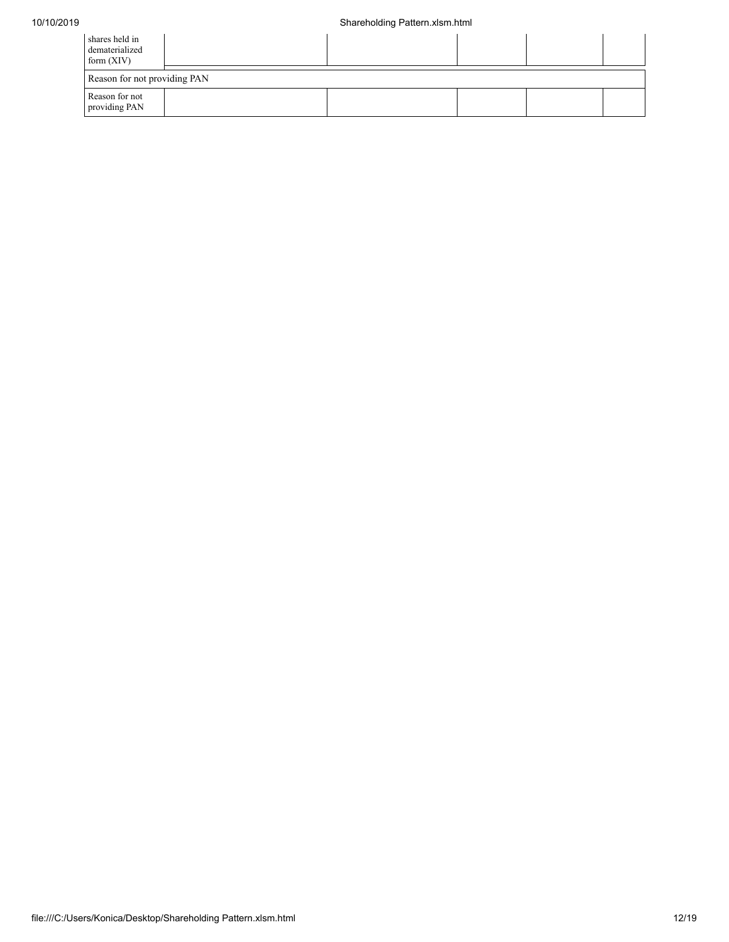| shares held in<br>dematerialized<br>form $(XIV)$ |  |  |  |  |  |  |  |  |  |
|--------------------------------------------------|--|--|--|--|--|--|--|--|--|
| Reason for not providing PAN                     |  |  |  |  |  |  |  |  |  |
| Reason for not<br>providing PAN                  |  |  |  |  |  |  |  |  |  |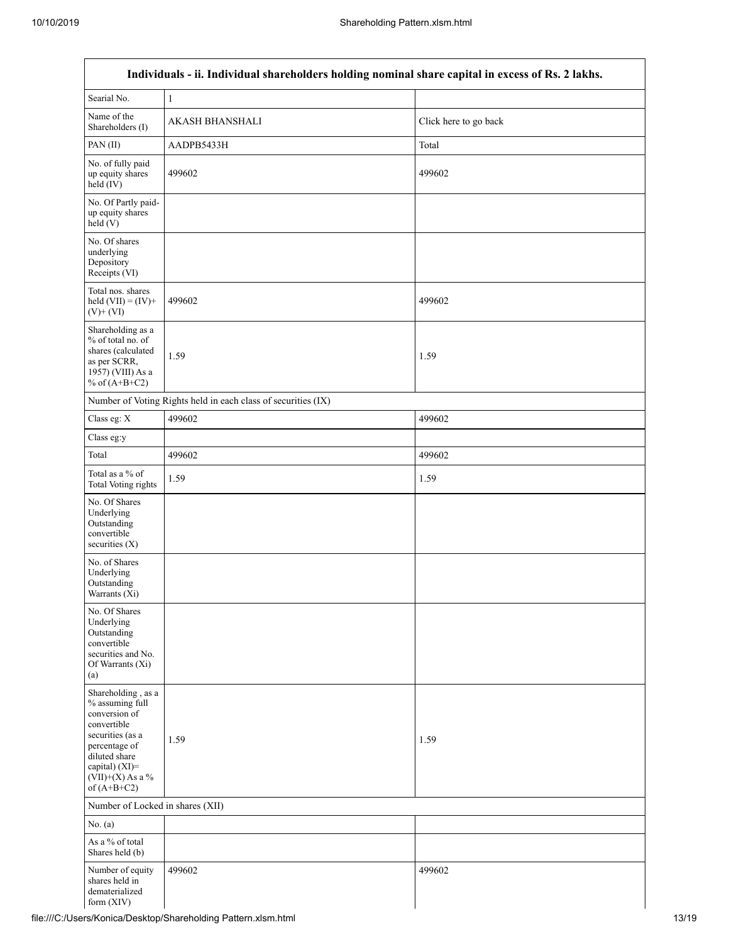| Individuals - ii. Individual shareholders holding nominal share capital in excess of Rs. 2 lakhs.                                                                                    |                                                               |                       |  |  |  |  |  |  |  |
|--------------------------------------------------------------------------------------------------------------------------------------------------------------------------------------|---------------------------------------------------------------|-----------------------|--|--|--|--|--|--|--|
| Searial No.                                                                                                                                                                          | $\mathbf{1}$                                                  |                       |  |  |  |  |  |  |  |
| Name of the<br>Shareholders (I)                                                                                                                                                      | AKASH BHANSHALI                                               | Click here to go back |  |  |  |  |  |  |  |
| PAN(II)                                                                                                                                                                              | AADPB5433H                                                    | Total                 |  |  |  |  |  |  |  |
| No. of fully paid<br>up equity shares<br>$held$ (IV)                                                                                                                                 | 499602                                                        | 499602                |  |  |  |  |  |  |  |
| No. Of Partly paid-<br>up equity shares<br>held(V)                                                                                                                                   |                                                               |                       |  |  |  |  |  |  |  |
| No. Of shares<br>underlying<br>Depository<br>Receipts (VI)                                                                                                                           |                                                               |                       |  |  |  |  |  |  |  |
| Total nos. shares<br>held $(VII) = (IV) +$<br>$(V)$ + $(VI)$                                                                                                                         | 499602                                                        | 499602                |  |  |  |  |  |  |  |
| Shareholding as a<br>% of total no. of<br>shares (calculated<br>as per SCRR,<br>1957) (VIII) As a<br>% of $(A+B+C2)$                                                                 | 1.59                                                          | 1.59                  |  |  |  |  |  |  |  |
|                                                                                                                                                                                      | Number of Voting Rights held in each class of securities (IX) |                       |  |  |  |  |  |  |  |
| Class eg: X                                                                                                                                                                          | 499602                                                        | 499602                |  |  |  |  |  |  |  |
| Class eg:y                                                                                                                                                                           |                                                               |                       |  |  |  |  |  |  |  |
| Total                                                                                                                                                                                | 499602                                                        | 499602                |  |  |  |  |  |  |  |
| Total as a % of<br>Total Voting rights                                                                                                                                               | 1.59                                                          | 1.59                  |  |  |  |  |  |  |  |
| No. Of Shares<br>Underlying<br>Outstanding<br>convertible<br>securities $(X)$                                                                                                        |                                                               |                       |  |  |  |  |  |  |  |
| No. of Shares<br>Underlying<br>Outstanding<br>Warrants (Xi)                                                                                                                          |                                                               |                       |  |  |  |  |  |  |  |
| No. Of Shares<br>Underlying<br>Outstanding<br>convertible<br>securities and No.<br>Of Warrants (Xi)<br>(a)                                                                           |                                                               |                       |  |  |  |  |  |  |  |
| Shareholding, as a<br>% assuming full<br>conversion of<br>convertible<br>securities (as a<br>percentage of<br>diluted share<br>capital) (XI)=<br>$(VII)+(X)$ As a %<br>of $(A+B+C2)$ | 1.59                                                          | 1.59                  |  |  |  |  |  |  |  |
| Number of Locked in shares (XII)                                                                                                                                                     |                                                               |                       |  |  |  |  |  |  |  |
| No. (a)                                                                                                                                                                              |                                                               |                       |  |  |  |  |  |  |  |
| As a % of total<br>Shares held (b)                                                                                                                                                   |                                                               |                       |  |  |  |  |  |  |  |
| Number of equity<br>shares held in<br>dematerialized<br>form (XIV)                                                                                                                   | 499602                                                        | 499602                |  |  |  |  |  |  |  |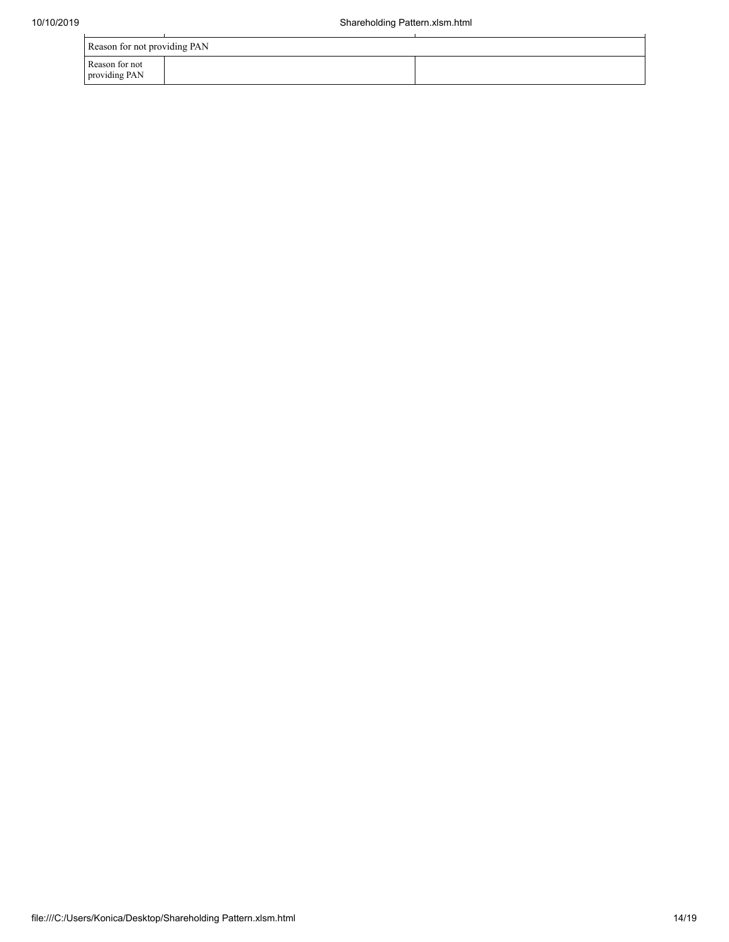| Reason for not providing PAN    |  |  |  |  |  |  |  |  |
|---------------------------------|--|--|--|--|--|--|--|--|
| Reason for not<br>providing PAN |  |  |  |  |  |  |  |  |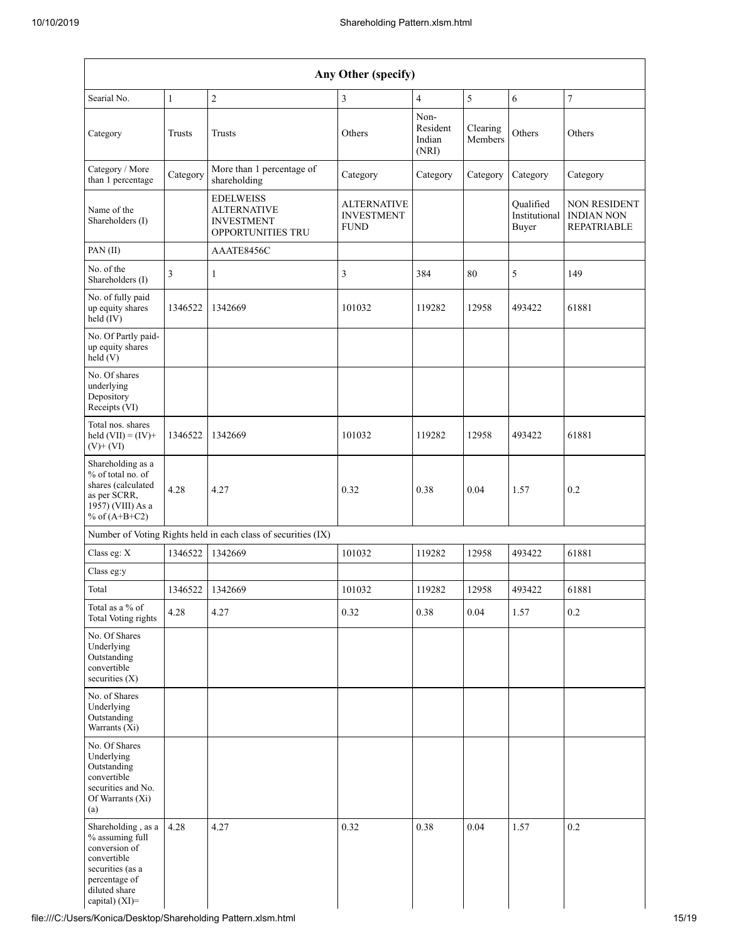| Any Other (specify)                                                                                                                           |                  |                                                                                  |                                                        |                                                            |          |                                     |                                                                |  |  |  |
|-----------------------------------------------------------------------------------------------------------------------------------------------|------------------|----------------------------------------------------------------------------------|--------------------------------------------------------|------------------------------------------------------------|----------|-------------------------------------|----------------------------------------------------------------|--|--|--|
| 5<br>$\overline{7}$<br>$\overline{c}$<br>3<br>$\overline{4}$<br>6<br>Searial No.<br>$\mathbf{1}$                                              |                  |                                                                                  |                                                        |                                                            |          |                                     |                                                                |  |  |  |
| Category                                                                                                                                      | Trusts<br>Trusts |                                                                                  | Others                                                 | Non-<br>Resident<br>Clearing<br>Indian<br>Members<br>(NRI) |          | Others                              | Others                                                         |  |  |  |
| Category / More<br>than 1 percentage                                                                                                          | Category         | More than 1 percentage of<br>shareholding                                        | Category                                               | Category                                                   | Category | Category                            | Category                                                       |  |  |  |
| Name of the<br>Shareholders (I)                                                                                                               |                  | <b>EDELWEISS</b><br><b>ALTERNATIVE</b><br><b>INVESTMENT</b><br>OPPORTUNITIES TRU | <b>ALTERNATIVE</b><br><b>INVESTMENT</b><br><b>FUND</b> |                                                            |          | Oualified<br>Institutional<br>Buyer | <b>NON RESIDENT</b><br><b>INDIAN NON</b><br><b>REPATRIABLE</b> |  |  |  |
| PAN(II)                                                                                                                                       |                  | AAATE8456C                                                                       |                                                        |                                                            |          |                                     |                                                                |  |  |  |
| No. of the<br>Shareholders (I)                                                                                                                | 3                | $\mathbf{1}$                                                                     | 3                                                      | 384                                                        | 80       | 5                                   | 149                                                            |  |  |  |
| No. of fully paid<br>up equity shares<br>held (IV)                                                                                            | 1346522          | 1342669                                                                          | 101032                                                 | 119282                                                     | 12958    | 493422                              | 61881                                                          |  |  |  |
| No. Of Partly paid-<br>up equity shares<br>held(V)                                                                                            |                  |                                                                                  |                                                        |                                                            |          |                                     |                                                                |  |  |  |
| No. Of shares<br>underlying<br>Depository<br>Receipts (VI)                                                                                    |                  |                                                                                  |                                                        |                                                            |          |                                     |                                                                |  |  |  |
| Total nos. shares<br>held $(VII) = (IV) +$<br>$(V)$ + $(VI)$                                                                                  | 1346522          | 1342669                                                                          | 101032                                                 | 119282                                                     | 12958    | 493422                              | 61881                                                          |  |  |  |
| Shareholding as a<br>% of total no. of<br>shares (calculated<br>as per SCRR,<br>1957) (VIII) As a<br>% of $(A+B+C2)$                          | 4.28<br>4.27     |                                                                                  | 0.32                                                   | 0.38                                                       | 0.04     | 1.57                                | 0.2                                                            |  |  |  |
|                                                                                                                                               |                  | Number of Voting Rights held in each class of securities (IX)                    |                                                        |                                                            |          |                                     |                                                                |  |  |  |
| Class eg: X                                                                                                                                   | 1346522          | 1342669                                                                          | 101032                                                 | 119282                                                     | 12958    | 493422                              | 61881                                                          |  |  |  |
| Class eg:y                                                                                                                                    |                  |                                                                                  |                                                        |                                                            |          |                                     |                                                                |  |  |  |
| Total                                                                                                                                         | 1346522          | 1342669                                                                          | 101032                                                 | 119282                                                     | 12958    | 493422                              | 61881                                                          |  |  |  |
| Total as a % of<br><b>Total Voting rights</b>                                                                                                 | 4.28             | 4.27                                                                             | 0.32                                                   | 0.38                                                       | 0.04     | 1.57                                | 0.2                                                            |  |  |  |
| No. Of Shares<br>Underlying<br>Outstanding<br>convertible<br>securities (X)                                                                   |                  |                                                                                  |                                                        |                                                            |          |                                     |                                                                |  |  |  |
| No. of Shares<br>Underlying<br>Outstanding<br>Warrants (Xi)                                                                                   |                  |                                                                                  |                                                        |                                                            |          |                                     |                                                                |  |  |  |
| No. Of Shares<br>Underlying<br>Outstanding<br>convertible<br>securities and No.<br>Of Warrants (Xi)<br>(a)                                    |                  |                                                                                  |                                                        |                                                            |          |                                     |                                                                |  |  |  |
| Shareholding, as a<br>% assuming full<br>conversion of<br>convertible<br>securities (as a<br>percentage of<br>diluted share<br>capital) (XI)= | 4.28             | 4.27                                                                             | 0.32                                                   | 0.38                                                       | 0.04     | 1.57                                | 0.2                                                            |  |  |  |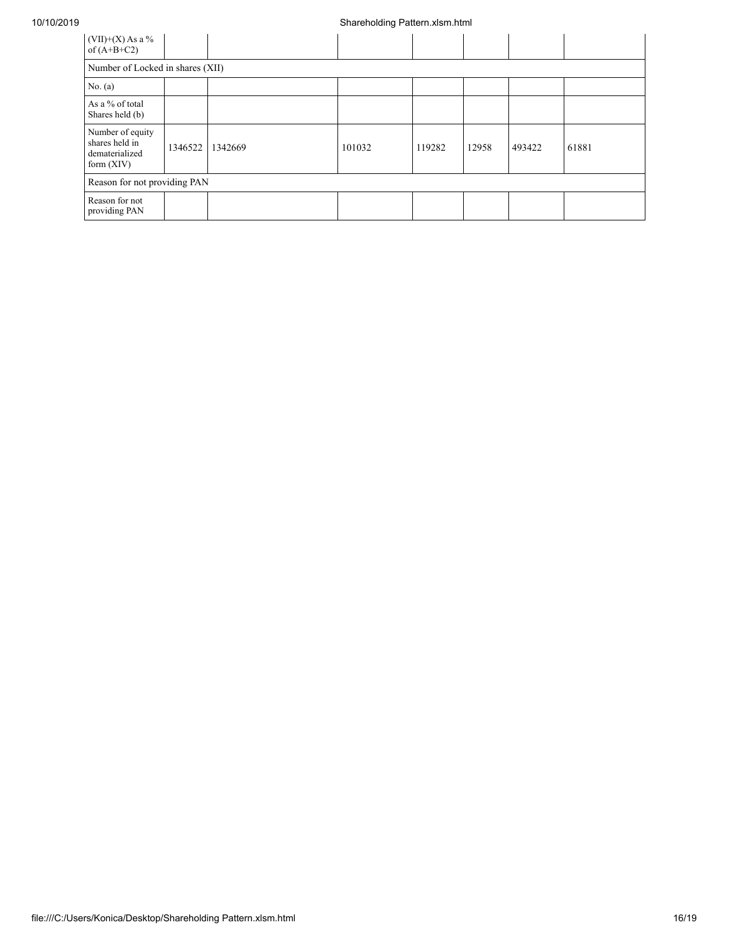#### 10/10/2019 Shareholding Pattern.xlsm.html

| $(VII)+(X)$ As a %<br>of $(A+B+C2)$                                  |         |         |        |        |       |        |       |  |  |
|----------------------------------------------------------------------|---------|---------|--------|--------|-------|--------|-------|--|--|
| Number of Locked in shares (XII)                                     |         |         |        |        |       |        |       |  |  |
| No. (a)                                                              |         |         |        |        |       |        |       |  |  |
| As a % of total<br>Shares held (b)                                   |         |         |        |        |       |        |       |  |  |
| Number of equity<br>shares held in<br>dematerialized<br>form $(XIV)$ | 1346522 | 1342669 | 101032 | 119282 | 12958 | 493422 | 61881 |  |  |
| Reason for not providing PAN                                         |         |         |        |        |       |        |       |  |  |
| Reason for not<br>providing PAN                                      |         |         |        |        |       |        |       |  |  |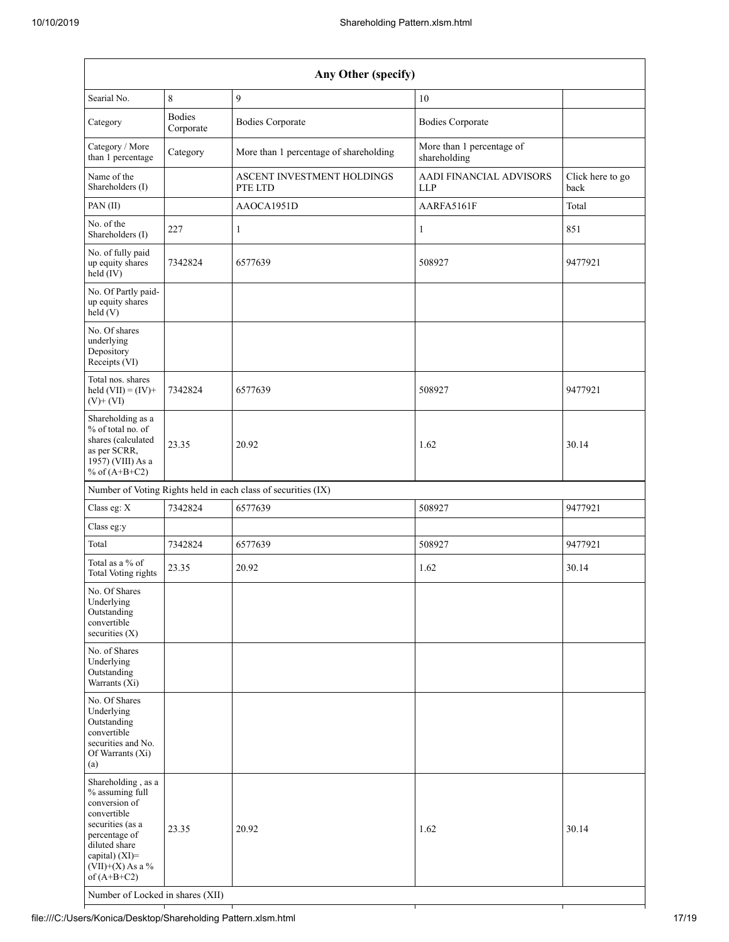| Any Other (specify)                                                                                                                                                                                                      |                                                                    |                                                               |                                              |                          |  |  |  |  |  |
|--------------------------------------------------------------------------------------------------------------------------------------------------------------------------------------------------------------------------|--------------------------------------------------------------------|---------------------------------------------------------------|----------------------------------------------|--------------------------|--|--|--|--|--|
| Searial No.                                                                                                                                                                                                              | 8                                                                  | 9                                                             | 10                                           |                          |  |  |  |  |  |
| Category                                                                                                                                                                                                                 | <b>Bodies</b><br>Corporate                                         | <b>Bodies Corporate</b>                                       | <b>Bodies Corporate</b>                      |                          |  |  |  |  |  |
| Category / More<br>than 1 percentage                                                                                                                                                                                     | Category<br>More than 1 percentage of shareholding<br>shareholding |                                                               | More than 1 percentage of                    |                          |  |  |  |  |  |
| Name of the<br>Shareholders (I)                                                                                                                                                                                          | ASCENT INVESTMENT HOLDINGS<br>PTE LTD                              |                                                               | <b>AADI FINANCIAL ADVISORS</b><br><b>LLP</b> | Click here to go<br>back |  |  |  |  |  |
| PAN (II)                                                                                                                                                                                                                 |                                                                    | AAOCA1951D                                                    | AARFA5161F                                   | Total                    |  |  |  |  |  |
| No. of the<br>Shareholders (I)                                                                                                                                                                                           | 227                                                                | 1                                                             | 1                                            | 851                      |  |  |  |  |  |
| No. of fully paid<br>up equity shares<br>held (IV)                                                                                                                                                                       | 7342824                                                            | 6577639                                                       | 508927                                       | 9477921                  |  |  |  |  |  |
| No. Of Partly paid-<br>up equity shares<br>held (V)                                                                                                                                                                      |                                                                    |                                                               |                                              |                          |  |  |  |  |  |
| No. Of shares<br>underlying<br>Depository<br>Receipts (VI)                                                                                                                                                               |                                                                    |                                                               |                                              |                          |  |  |  |  |  |
| Total nos. shares<br>held $(VII) = (IV) +$<br>$(V)$ + $(VI)$                                                                                                                                                             | 7342824                                                            | 6577639                                                       | 508927                                       | 9477921                  |  |  |  |  |  |
| Shareholding as a<br>% of total no. of<br>shares (calculated<br>23.35<br>20.92<br>as per SCRR,<br>1957) (VIII) As a<br>% of $(A+B+C2)$                                                                                   |                                                                    |                                                               | 1.62                                         |                          |  |  |  |  |  |
|                                                                                                                                                                                                                          |                                                                    | Number of Voting Rights held in each class of securities (IX) |                                              |                          |  |  |  |  |  |
| Class eg: X                                                                                                                                                                                                              | 7342824                                                            | 6577639                                                       | 508927                                       | 9477921                  |  |  |  |  |  |
| Class eg:y                                                                                                                                                                                                               |                                                                    |                                                               |                                              |                          |  |  |  |  |  |
| Total                                                                                                                                                                                                                    | 7342824                                                            | 6577639                                                       | 508927                                       | 9477921                  |  |  |  |  |  |
| Total as a $\%$ of<br>Total Voting rights                                                                                                                                                                                | 23.35                                                              | 20.92                                                         | 1.62                                         | 30.14                    |  |  |  |  |  |
| No. Of Shares<br>Underlying<br>Outstanding<br>convertible<br>securities $(X)$                                                                                                                                            |                                                                    |                                                               |                                              |                          |  |  |  |  |  |
| No. of Shares<br>Underlying<br>Outstanding<br>Warrants (Xi)                                                                                                                                                              |                                                                    |                                                               |                                              |                          |  |  |  |  |  |
| No. Of Shares<br>Underlying<br>Outstanding<br>convertible<br>securities and No.<br>Of Warrants (Xi)<br>(a)                                                                                                               |                                                                    |                                                               |                                              |                          |  |  |  |  |  |
| Shareholding, as a<br>% assuming full<br>conversion of<br>convertible<br>securities (as a<br>percentage of<br>diluted share<br>capital) (XI)=<br>$(VII)+(X)$ As a %<br>of $(A+B+C2)$<br>Number of Locked in shares (XII) | 23.35                                                              | 20.92                                                         | 1.62                                         | 30.14                    |  |  |  |  |  |

┩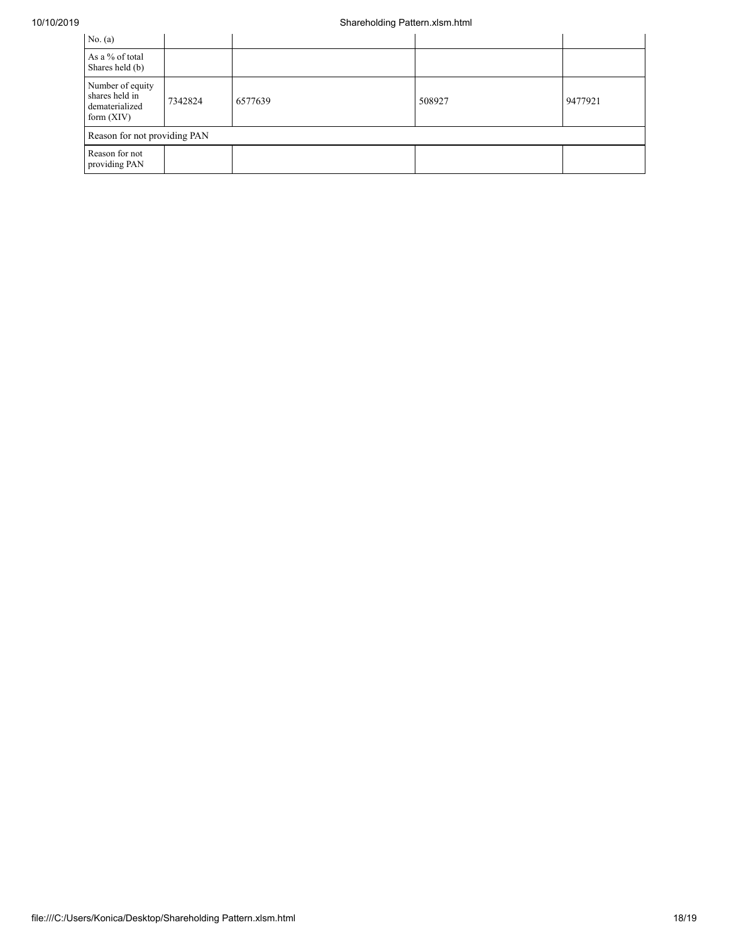## 10/10/2019 Shareholding Pattern.xlsm.html

| No. (a)                                                              |         |         |        |         |  |  |  |  |  |
|----------------------------------------------------------------------|---------|---------|--------|---------|--|--|--|--|--|
| As a % of total<br>Shares held (b)                                   |         |         |        |         |  |  |  |  |  |
| Number of equity<br>shares held in<br>dematerialized<br>form $(XIV)$ | 7342824 | 6577639 | 508927 | 9477921 |  |  |  |  |  |
| Reason for not providing PAN                                         |         |         |        |         |  |  |  |  |  |
| Reason for not<br>providing PAN                                      |         |         |        |         |  |  |  |  |  |